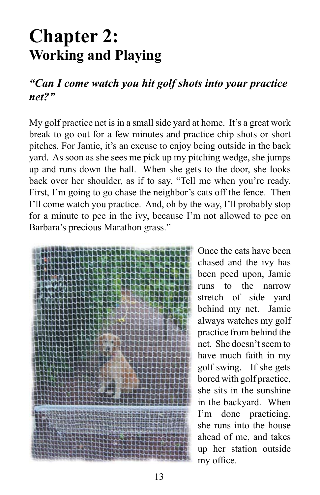# **Chapter 2: Working and Playing**

### *"Can I come watch you hit golf shots into your practice net?"*

My golf practice net is in a small side yard at home. It's a great work break to go out for a few minutes and practice chip shots or short pitches. For Jamie, it's an excuse to enjoy being outside in the back yard. As soon as she sees me pick up my pitching wedge, she jumps up and runs down the hall. When she gets to the door, she looks back over her shoulder, as if to say, "Tell me when you're ready. First, I'm going to go chase the neighbor's cats off the fence. Then I'll come watch you practice. And, oh by the way, I'll probably stop for a minute to pee in the ivy, because I'm not allowed to pee on Barbara's precious Marathon grass."



Once the cats have been chased and the ivy has been peed upon, Jamie runs to the narrow stretch of side yard behind my net. Jamie always watches my golf practice from behind the net. She doesn't seem to have much faith in my golf swing. If she gets bored with golf practice, she sits in the sunshine in the backyard. When I'm done practicing, she runs into the house ahead of me, and takes up her station outside my office.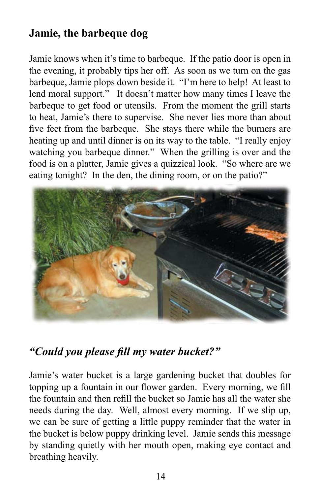## **Jamie, the barbeque dog**

Jamie knows when it's time to barbeque. If the patio door is open in the evening, it probably tips her off. As soon as we turn on the gas barbeque, Jamie plops down beside it. "I'm here to help! At least to lend moral support." It doesn't matter how many times I leave the barbeque to get food or utensils. From the moment the grill starts to heat, Jamie's there to supervise. She never lies more than about five feet from the barbeque. She stays there while the burners are heating up and until dinner is on its way to the table. "I really enjoy watching you barbeque dinner." When the grilling is over and the food is on a platter, Jamie gives a quizzical look. "So where are we eating tonight? In the den, the dining room, or on the patio?"



### *"Could you please fill my water bucket?"*

Jamie's water bucket is a large gardening bucket that doubles for topping up a fountain in our flower garden. Every morning, we fill the fountain and then refill the bucket so Jamie has all the water she needs during the day. Well, almost every morning. If we slip up, we can be sure of getting a little puppy reminder that the water in the bucket is below puppy drinking level. Jamie sends this message by standing quietly with her mouth open, making eye contact and breathing heavily.